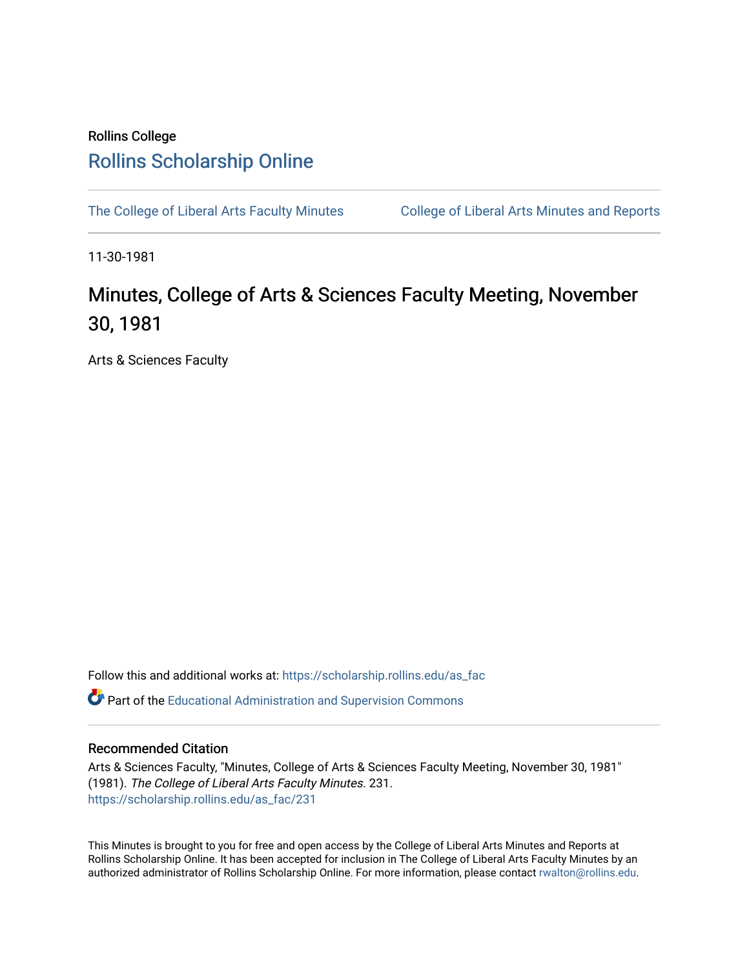## Rollins College [Rollins Scholarship Online](https://scholarship.rollins.edu/)

[The College of Liberal Arts Faculty Minutes](https://scholarship.rollins.edu/as_fac) College of Liberal Arts Minutes and Reports

11-30-1981

## Minutes, College of Arts & Sciences Faculty Meeting, November 30, 1981

Arts & Sciences Faculty

Follow this and additional works at: [https://scholarship.rollins.edu/as\\_fac](https://scholarship.rollins.edu/as_fac?utm_source=scholarship.rollins.edu%2Fas_fac%2F231&utm_medium=PDF&utm_campaign=PDFCoverPages) 

**P** Part of the [Educational Administration and Supervision Commons](http://network.bepress.com/hgg/discipline/787?utm_source=scholarship.rollins.edu%2Fas_fac%2F231&utm_medium=PDF&utm_campaign=PDFCoverPages)

## Recommended Citation

Arts & Sciences Faculty, "Minutes, College of Arts & Sciences Faculty Meeting, November 30, 1981" (1981). The College of Liberal Arts Faculty Minutes. 231. [https://scholarship.rollins.edu/as\\_fac/231](https://scholarship.rollins.edu/as_fac/231?utm_source=scholarship.rollins.edu%2Fas_fac%2F231&utm_medium=PDF&utm_campaign=PDFCoverPages) 

This Minutes is brought to you for free and open access by the College of Liberal Arts Minutes and Reports at Rollins Scholarship Online. It has been accepted for inclusion in The College of Liberal Arts Faculty Minutes by an authorized administrator of Rollins Scholarship Online. For more information, please contact [rwalton@rollins.edu](mailto:rwalton@rollins.edu).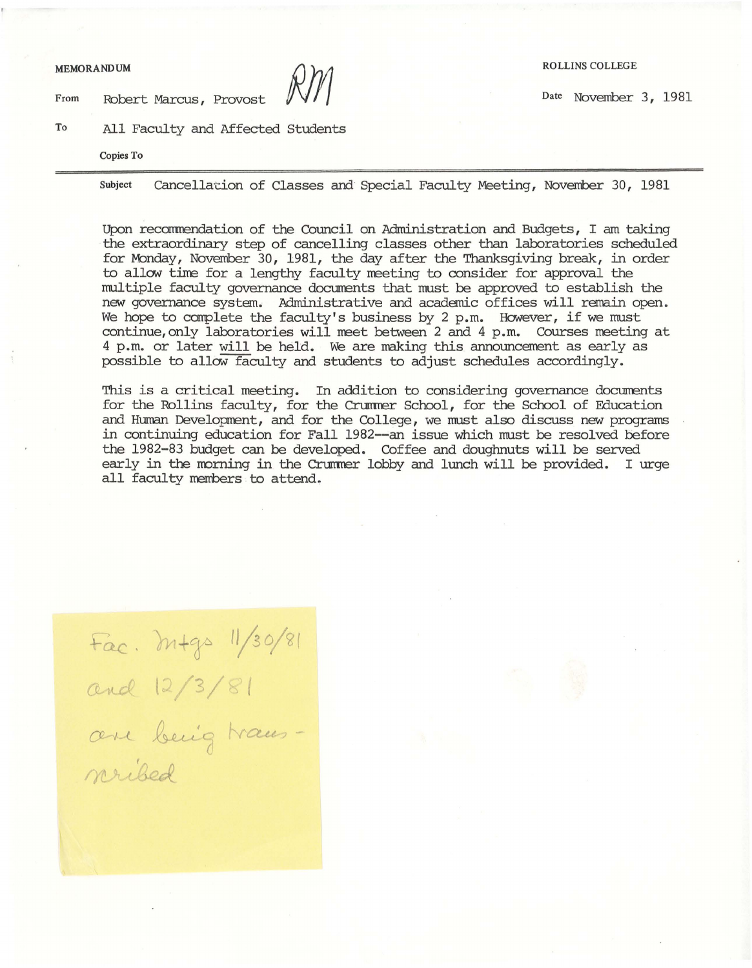From Robert Marcus, Provost  $\sqrt{V}$ 

To All Faculty and Affected Students

**Copies To** 

Subject cancellat:ion of Classes and Special Faculty Meeting, November 30, 1981

Upon reccmrendation of the Council on Administration and Budgets, I am taking the extraordinary step of cancelling classes other than laboratories scheduled for Monday, November 30, 1981, the day after the Thanksgiving break, in order to allow tine for a lengthy faculty meeting to consider for approval the multiple faculty governance documents that must be approved to establish the new governance system. Administrative and academic offices will remain open. We hope to complete the faculty's business by 2 p.m. However, if we must continue,only laboratories will meet between 2 and 4 p.m. Courses meeting at 4 p.m. or later will be held. We are making this announcement as early as possible to allow faculty and students to adjust schedules accordingly.

This is a critical meeting. In addition to considering governance documents for the Rollins faculty, for the Crummer School, for the School of Education and Human Development, and for the College, we must also discuss new programs in continuing education for Fall 1982--an issue which must be resolved before the 1982-83 budget can be developed. Coffee and doughnuts will be served early in the morning in the Crummer lobby and lunch will be provided. I urge all faculty members to attend.

Fac. M+gs 11/30/81<br>and 12/3/81<br>and 12/3/81 nribed

**MEMORANDUM** ROLLINS COLLEGE